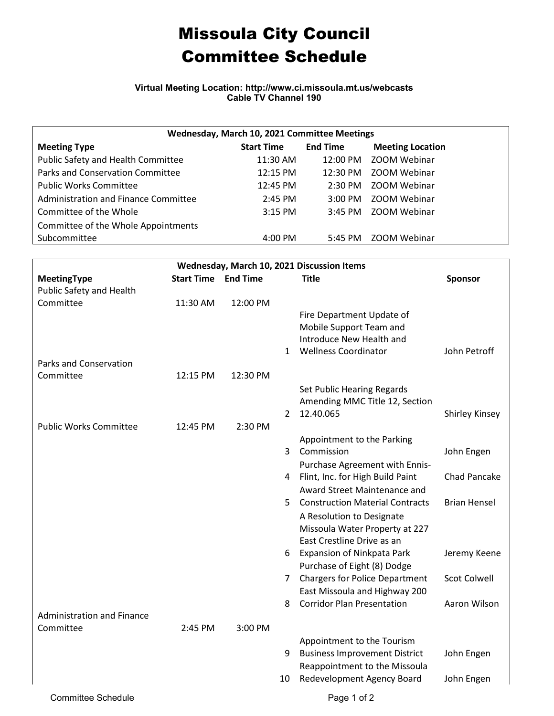## Missoula City Council Committee Schedule

**Virtual Meeting Location: http://www.ci.missoula.mt.us/webcasts Cable TV Channel 190**

| Wednesday, March 10, 2021 Committee Meetings |                   |                    |                         |  |  |  |  |
|----------------------------------------------|-------------------|--------------------|-------------------------|--|--|--|--|
| <b>Meeting Type</b>                          | <b>Start Time</b> | <b>End Time</b>    | <b>Meeting Location</b> |  |  |  |  |
| Public Safety and Health Committee           | $11:30$ AM        | 12:00 PM           | ZOOM Webinar            |  |  |  |  |
| Parks and Conservation Committee             | 12:15 PM          | $12:30 \text{ PM}$ | ZOOM Webinar            |  |  |  |  |
| <b>Public Works Committee</b>                | 12:45 PM          | $2:30$ PM          | ZOOM Webinar            |  |  |  |  |
| Administration and Finance Committee         | $2:45$ PM         | $3:00 \text{ PM}$  | ZOOM Webinar            |  |  |  |  |
| Committee of the Whole                       | $3:15$ PM         | $3:45$ PM          | ZOOM Webinar            |  |  |  |  |
| Committee of the Whole Appointments          |                   |                    |                         |  |  |  |  |
| Subcommittee                                 | 4:00 PM           | 5:45 PM            | ZOOM Webinar            |  |  |  |  |

| Wednesday, March 10, 2021 Discussion Items |                            |          |    |                                        |                       |  |  |  |
|--------------------------------------------|----------------------------|----------|----|----------------------------------------|-----------------------|--|--|--|
| <b>MeetingType</b>                         | <b>Start Time End Time</b> |          |    | <b>Title</b>                           | <b>Sponsor</b>        |  |  |  |
| Public Safety and Health                   |                            |          |    |                                        |                       |  |  |  |
| Committee                                  | 11:30 AM                   | 12:00 PM |    |                                        |                       |  |  |  |
|                                            |                            |          |    | Fire Department Update of              |                       |  |  |  |
|                                            |                            |          |    | Mobile Support Team and                |                       |  |  |  |
|                                            |                            |          |    | Introduce New Health and               |                       |  |  |  |
|                                            |                            |          | 1  | <b>Wellness Coordinator</b>            | John Petroff          |  |  |  |
| Parks and Conservation                     |                            |          |    |                                        |                       |  |  |  |
| Committee                                  | 12:15 PM                   | 12:30 PM |    |                                        |                       |  |  |  |
|                                            |                            |          |    | Set Public Hearing Regards             |                       |  |  |  |
|                                            |                            |          |    | Amending MMC Title 12, Section         |                       |  |  |  |
|                                            |                            |          | 2  | 12.40.065                              | <b>Shirley Kinsey</b> |  |  |  |
| <b>Public Works Committee</b>              | 12:45 PM                   | 2:30 PM  |    |                                        |                       |  |  |  |
|                                            |                            |          |    | Appointment to the Parking             |                       |  |  |  |
|                                            |                            |          | 3  | Commission                             | John Engen            |  |  |  |
|                                            |                            |          |    | Purchase Agreement with Ennis-         |                       |  |  |  |
|                                            |                            |          | 4  | Flint, Inc. for High Build Paint       | <b>Chad Pancake</b>   |  |  |  |
|                                            |                            |          |    | Award Street Maintenance and           |                       |  |  |  |
|                                            |                            |          | 5. | <b>Construction Material Contracts</b> | <b>Brian Hensel</b>   |  |  |  |
|                                            |                            |          |    | A Resolution to Designate              |                       |  |  |  |
|                                            |                            |          |    | Missoula Water Property at 227         |                       |  |  |  |
|                                            |                            |          |    | East Crestline Drive as an             |                       |  |  |  |
|                                            |                            |          | 6. | <b>Expansion of Ninkpata Park</b>      | Jeremy Keene          |  |  |  |
|                                            |                            |          |    | Purchase of Eight (8) Dodge            |                       |  |  |  |
|                                            |                            |          | 7. | <b>Chargers for Police Department</b>  | <b>Scot Colwell</b>   |  |  |  |
|                                            |                            |          |    | East Missoula and Highway 200          |                       |  |  |  |
|                                            |                            |          | 8  | <b>Corridor Plan Presentation</b>      | Aaron Wilson          |  |  |  |
| <b>Administration and Finance</b>          |                            |          |    |                                        |                       |  |  |  |
| Committee                                  | 2:45 PM                    | 3:00 PM  |    |                                        |                       |  |  |  |
|                                            |                            |          |    | Appointment to the Tourism             |                       |  |  |  |
|                                            |                            |          | 9  | <b>Business Improvement District</b>   | John Engen            |  |  |  |
|                                            |                            |          |    | Reappointment to the Missoula          |                       |  |  |  |
|                                            |                            |          | 10 | Redevelopment Agency Board             | John Engen            |  |  |  |
|                                            |                            |          |    |                                        |                       |  |  |  |
| <b>Committee Schedule</b>                  |                            |          |    | Page 1 of 2                            |                       |  |  |  |